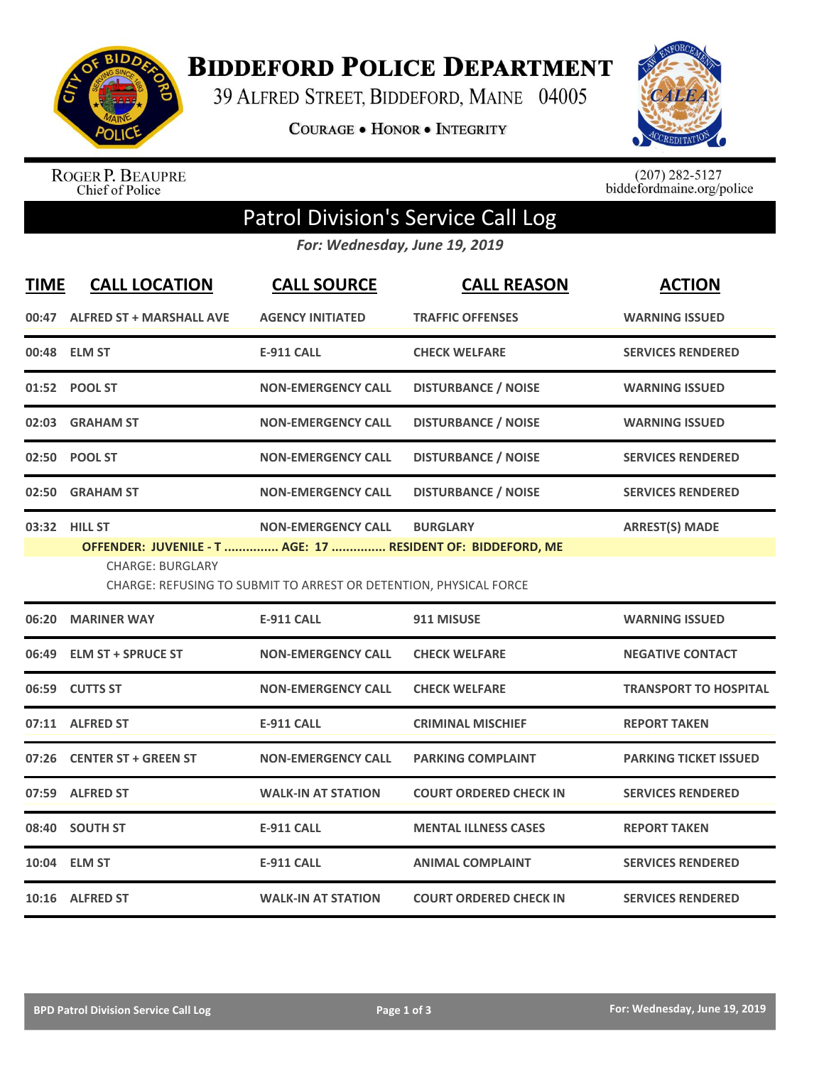

**BIDDEFORD POLICE DEPARTMENT** 

39 ALFRED STREET, BIDDEFORD, MAINE 04005

**COURAGE . HONOR . INTEGRITY** 



ROGER P. BEAUPRE<br>Chief of Police

 $(207)$  282-5127<br>biddefordmaine.org/police

## Patrol Division's Service Call Log

*For: Wednesday, June 19, 2019*

| <b>TIME</b> | <b>CALL LOCATION</b>                                                                                                                                                                                                                                  | <b>CALL SOURCE</b>        | <b>CALL REASON</b>            | <b>ACTION</b>                |  |  |
|-------------|-------------------------------------------------------------------------------------------------------------------------------------------------------------------------------------------------------------------------------------------------------|---------------------------|-------------------------------|------------------------------|--|--|
|             | 00:47 ALFRED ST + MARSHALL AVE                                                                                                                                                                                                                        | <b>AGENCY INITIATED</b>   | <b>TRAFFIC OFFENSES</b>       | <b>WARNING ISSUED</b>        |  |  |
|             | 00:48 ELM ST                                                                                                                                                                                                                                          | <b>E-911 CALL</b>         | <b>CHECK WELFARE</b>          | <b>SERVICES RENDERED</b>     |  |  |
|             | 01:52 POOL ST                                                                                                                                                                                                                                         | <b>NON-EMERGENCY CALL</b> | <b>DISTURBANCE / NOISE</b>    | <b>WARNING ISSUED</b>        |  |  |
|             | 02:03 GRAHAM ST                                                                                                                                                                                                                                       | <b>NON-EMERGENCY CALL</b> | <b>DISTURBANCE / NOISE</b>    | <b>WARNING ISSUED</b>        |  |  |
|             | 02:50 POOL ST                                                                                                                                                                                                                                         | <b>NON-EMERGENCY CALL</b> | <b>DISTURBANCE / NOISE</b>    | <b>SERVICES RENDERED</b>     |  |  |
| 02:50       | <b>GRAHAM ST</b>                                                                                                                                                                                                                                      | <b>NON-EMERGENCY CALL</b> | <b>DISTURBANCE / NOISE</b>    | <b>SERVICES RENDERED</b>     |  |  |
|             | <b>ARREST(S) MADE</b><br>03:32 HILL ST<br><b>NON-EMERGENCY CALL</b><br><b>BURGLARY</b><br>OFFENDER: JUVENILE - T  AGE: 17  RESIDENT OF: BIDDEFORD, ME<br><b>CHARGE: BURGLARY</b><br>CHARGE: REFUSING TO SUBMIT TO ARREST OR DETENTION, PHYSICAL FORCE |                           |                               |                              |  |  |
| 06:20       | <b>MARINER WAY</b>                                                                                                                                                                                                                                    | E-911 CALL                | 911 MISUSE                    | <b>WARNING ISSUED</b>        |  |  |
| 06:49       | <b>ELM ST + SPRUCE ST</b>                                                                                                                                                                                                                             | <b>NON-EMERGENCY CALL</b> | <b>CHECK WELFARE</b>          | <b>NEGATIVE CONTACT</b>      |  |  |
|             | 06:59 CUTTS ST                                                                                                                                                                                                                                        | <b>NON-EMERGENCY CALL</b> | <b>CHECK WELFARE</b>          | <b>TRANSPORT TO HOSPITAL</b> |  |  |
|             | 07:11 ALFRED ST                                                                                                                                                                                                                                       | <b>E-911 CALL</b>         | <b>CRIMINAL MISCHIEF</b>      | <b>REPORT TAKEN</b>          |  |  |
|             | 07:26 CENTER ST + GREEN ST                                                                                                                                                                                                                            | <b>NON-EMERGENCY CALL</b> | <b>PARKING COMPLAINT</b>      | <b>PARKING TICKET ISSUED</b> |  |  |
|             | 07:59 ALFRED ST                                                                                                                                                                                                                                       | <b>WALK-IN AT STATION</b> | <b>COURT ORDERED CHECK IN</b> | <b>SERVICES RENDERED</b>     |  |  |
|             | 08:40 SOUTH ST                                                                                                                                                                                                                                        | <b>E-911 CALL</b>         | <b>MENTAL ILLNESS CASES</b>   | <b>REPORT TAKEN</b>          |  |  |
|             | 10:04 ELM ST                                                                                                                                                                                                                                          | <b>E-911 CALL</b>         | <b>ANIMAL COMPLAINT</b>       | <b>SERVICES RENDERED</b>     |  |  |
|             | 10:16 ALFRED ST                                                                                                                                                                                                                                       | <b>WALK-IN AT STATION</b> | <b>COURT ORDERED CHECK IN</b> | <b>SERVICES RENDERED</b>     |  |  |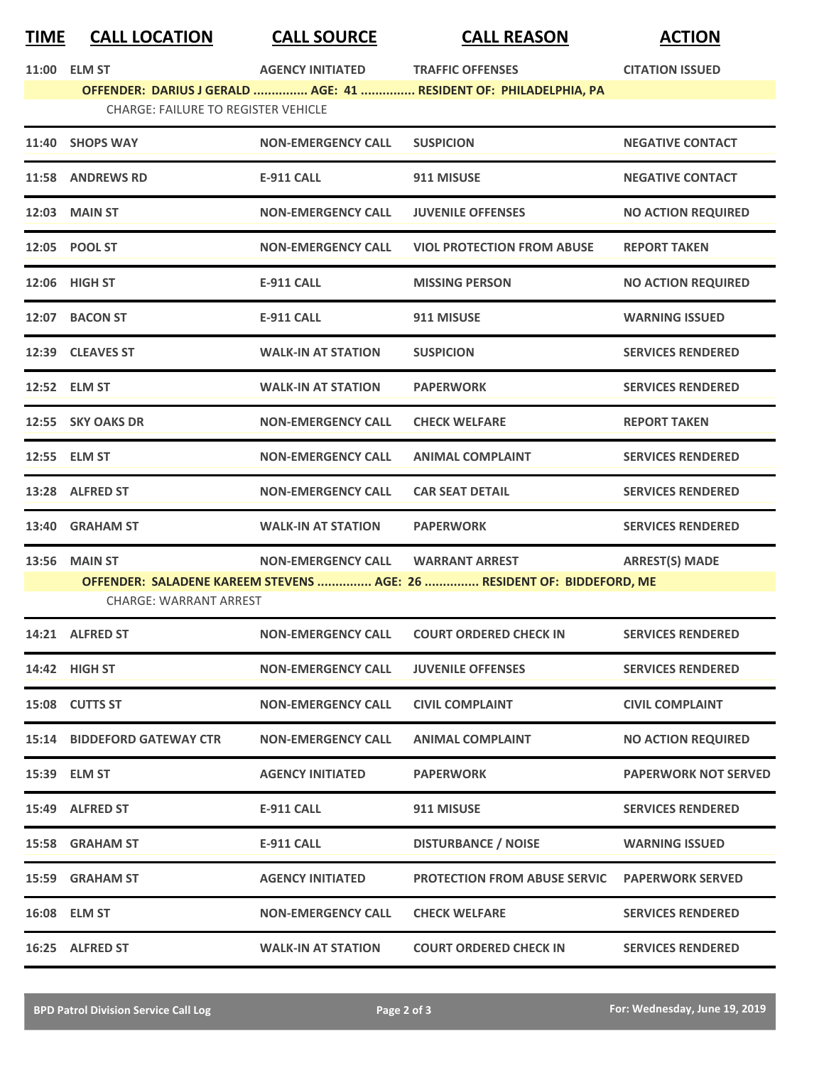|--|

**TIME CALL LOCATION CALL SOURCE CALL REASON ACTION**

|                                                                                                                 | 11:00 ELM ST                       | AGENCY INITIATED TRAFFIC OFFENSES |                                                                        | <b>CITATION ISSUED</b>      |  |  |
|-----------------------------------------------------------------------------------------------------------------|------------------------------------|-----------------------------------|------------------------------------------------------------------------|-----------------------------|--|--|
| OFFENDER: DARIUS J GERALD  AGE: 41  RESIDENT OF: PHILADELPHIA, PA<br><b>CHARGE: FAILURE TO REGISTER VEHICLE</b> |                                    |                                   |                                                                        |                             |  |  |
|                                                                                                                 | 11:40 SHOPS WAY                    | <b>NON-EMERGENCY CALL</b>         | <b>SUSPICION</b>                                                       | <b>NEGATIVE CONTACT</b>     |  |  |
|                                                                                                                 | 11:58 ANDREWS RD                   | <b>E-911 CALL</b>                 | 911 MISUSE                                                             | <b>NEGATIVE CONTACT</b>     |  |  |
|                                                                                                                 | 12:03 MAIN ST                      | <b>NON-EMERGENCY CALL</b>         | <b>JUVENILE OFFENSES</b>                                               | <b>NO ACTION REQUIRED</b>   |  |  |
|                                                                                                                 | 12:05 POOL ST                      | <b>NON-EMERGENCY CALL</b>         | <b>VIOL PROTECTION FROM ABUSE</b>                                      | <b>REPORT TAKEN</b>         |  |  |
|                                                                                                                 | 12:06 HIGH ST                      | <b>E-911 CALL</b>                 | <b>MISSING PERSON</b>                                                  | <b>NO ACTION REQUIRED</b>   |  |  |
|                                                                                                                 | 12:07 BACON ST                     | <b>E-911 CALL</b>                 | 911 MISUSE                                                             | <b>WARNING ISSUED</b>       |  |  |
|                                                                                                                 | 12:39 CLEAVES ST                   | <b>WALK-IN AT STATION</b>         | <b>SUSPICION</b>                                                       | <b>SERVICES RENDERED</b>    |  |  |
|                                                                                                                 | 12:52 ELM ST                       | <b>WALK-IN AT STATION</b>         | <b>PAPERWORK</b>                                                       | <b>SERVICES RENDERED</b>    |  |  |
|                                                                                                                 | 12:55 SKY OAKS DR                  | <b>NON-EMERGENCY CALL</b>         | <b>CHECK WELFARE</b>                                                   | <b>REPORT TAKEN</b>         |  |  |
|                                                                                                                 | 12:55 ELM ST                       | <b>NON-EMERGENCY CALL</b>         | <b>ANIMAL COMPLAINT</b>                                                | <b>SERVICES RENDERED</b>    |  |  |
|                                                                                                                 | 13:28 ALFRED ST                    | <b>NON-EMERGENCY CALL</b>         | <b>CAR SEAT DETAIL</b>                                                 | <b>SERVICES RENDERED</b>    |  |  |
|                                                                                                                 | 13:40 GRAHAM ST                    | <b>WALK-IN AT STATION</b>         | <b>PAPERWORK</b>                                                       | <b>SERVICES RENDERED</b>    |  |  |
|                                                                                                                 | <b>13:56 MAIN ST</b>               | <b>NON-EMERGENCY CALL</b>         | <b>WARRANT ARREST</b>                                                  | <b>ARREST(S) MADE</b>       |  |  |
|                                                                                                                 | <b>CHARGE: WARRANT ARREST</b>      |                                   | OFFENDER: SALADENE KAREEM STEVENS  AGE: 26  RESIDENT OF: BIDDEFORD, ME |                             |  |  |
|                                                                                                                 | 14:21 ALFRED ST                    | <b>NON-EMERGENCY CALL</b>         | <b>COURT ORDERED CHECK IN</b>                                          | <b>SERVICES RENDERED</b>    |  |  |
|                                                                                                                 | 14:42 HIGH ST                      | <b>NON-EMERGENCY CALL</b>         | <b>JUVENILE OFFENSES</b>                                               | <b>SERVICES RENDERED</b>    |  |  |
|                                                                                                                 | 15:08 CUTTS ST                     | <b>NON-EMERGENCY CALL</b>         | <b>CIVIL COMPLAINT</b>                                                 | <b>CIVIL COMPLAINT</b>      |  |  |
|                                                                                                                 | <b>15:14 BIDDEFORD GATEWAY CTR</b> | <b>NON-EMERGENCY CALL</b>         | <b>ANIMAL COMPLAINT</b>                                                | <b>NO ACTION REQUIRED</b>   |  |  |
|                                                                                                                 | 15:39 ELM ST                       | <b>AGENCY INITIATED</b>           | <b>PAPERWORK</b>                                                       | <b>PAPERWORK NOT SERVED</b> |  |  |
|                                                                                                                 | 15:49 ALFRED ST                    | <b>E-911 CALL</b>                 | 911 MISUSE                                                             | <b>SERVICES RENDERED</b>    |  |  |
|                                                                                                                 | 15:58 GRAHAM ST                    | <b>E-911 CALL</b>                 | <b>DISTURBANCE / NOISE</b>                                             | <b>WARNING ISSUED</b>       |  |  |
|                                                                                                                 | 15:59 GRAHAM ST                    | <b>AGENCY INITIATED</b>           | <b>PROTECTION FROM ABUSE SERVIC</b>                                    | <b>PAPERWORK SERVED</b>     |  |  |
|                                                                                                                 | 16:08 ELM ST                       | <b>NON-EMERGENCY CALL</b>         | <b>CHECK WELFARE</b>                                                   | <b>SERVICES RENDERED</b>    |  |  |
|                                                                                                                 | 16:25 ALFRED ST                    | <b>WALK-IN AT STATION</b>         | <b>COURT ORDERED CHECK IN</b>                                          | <b>SERVICES RENDERED</b>    |  |  |